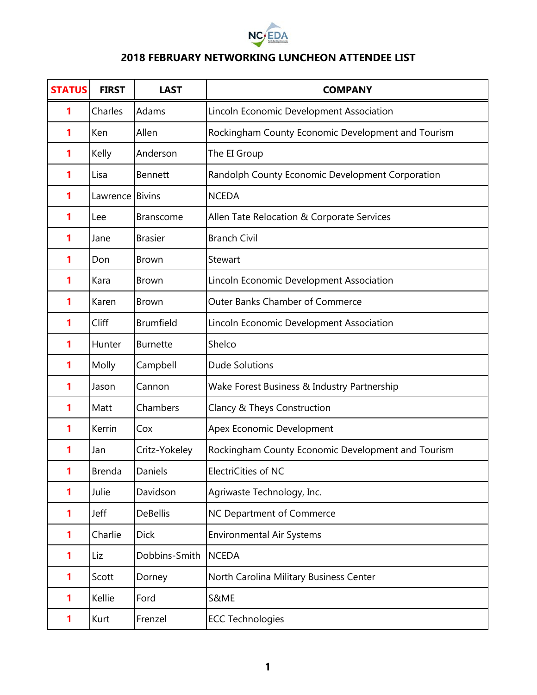

## **2018 FEBRUARY NETWORKING LUNCHEON ATTENDEE LIST**

| <b>STATUS</b> | <b>FIRST</b> | <b>LAST</b>      | <b>COMPANY</b>                                     |
|---------------|--------------|------------------|----------------------------------------------------|
| 1             | Charles      | Adams            | Lincoln Economic Development Association           |
| 1             | Ken          | Allen            | Rockingham County Economic Development and Tourism |
|               | Kelly        | Anderson         | The EI Group                                       |
|               | Lisa         | <b>Bennett</b>   | Randolph County Economic Development Corporation   |
| 1             | Lawrence     | <b>Bivins</b>    | <b>NCEDA</b>                                       |
| 1             | Lee          | <b>Branscome</b> | Allen Tate Relocation & Corporate Services         |
| 1             | Jane         | <b>Brasier</b>   | <b>Branch Civil</b>                                |
|               | Don          | <b>Brown</b>     | Stewart                                            |
| 1             | Kara         | <b>Brown</b>     | Lincoln Economic Development Association           |
| 1             | Karen        | <b>Brown</b>     | <b>Outer Banks Chamber of Commerce</b>             |
| 1             | Cliff        | <b>Brumfield</b> | Lincoln Economic Development Association           |
| 1             | Hunter       | <b>Burnette</b>  | Shelco                                             |
| 1             | Molly        | Campbell         | <b>Dude Solutions</b>                              |
|               | Jason        | Cannon           | Wake Forest Business & Industry Partnership        |
|               | Matt         | Chambers         | Clancy & Theys Construction                        |
| 1             | Kerrin       | Cox              | Apex Economic Development                          |
| 1             | Jan          | Critz-Yokeley    | Rockingham County Economic Development and Tourism |
|               | Brenda       | Daniels          | ElectriCities of NC                                |
| 1             | Julie        | Davidson         | Agriwaste Technology, Inc.                         |
| 1             | Jeff         | <b>DeBellis</b>  | NC Department of Commerce                          |
| 1             | Charlie      | <b>Dick</b>      | <b>Environmental Air Systems</b>                   |
| 1             | Liz          | Dobbins-Smith    | <b>NCEDA</b>                                       |
| 1             | Scott        | Dorney           | North Carolina Military Business Center            |
| 1             | Kellie       | Ford             | S&ME                                               |
| 1             | Kurt         | Frenzel          | <b>ECC Technologies</b>                            |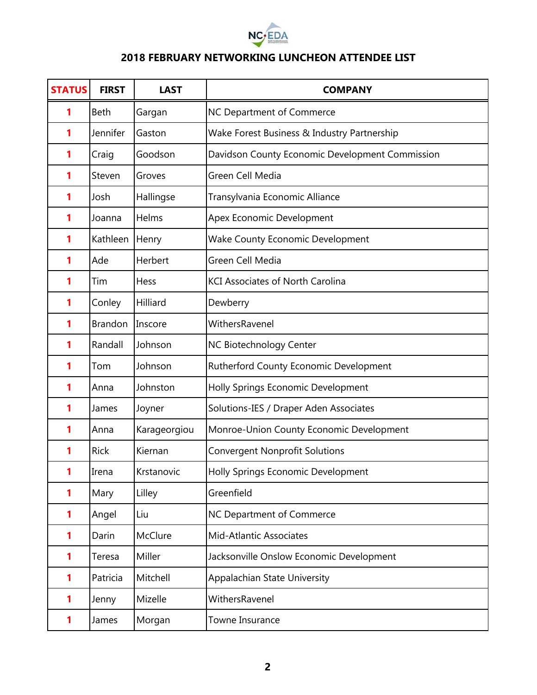

## **2018 FEBRUARY NETWORKING LUNCHEON ATTENDEE LIST**

| <b>STATUS</b> | <b>FIRST</b>   | <b>LAST</b>  | <b>COMPANY</b>                                  |
|---------------|----------------|--------------|-------------------------------------------------|
|               | <b>Beth</b>    | Gargan       | NC Department of Commerce                       |
|               | Jennifer       | Gaston       | Wake Forest Business & Industry Partnership     |
|               | Craig          | Goodson      | Davidson County Economic Development Commission |
|               | Steven         | Groves       | Green Cell Media                                |
|               | Josh           | Hallingse    | Transylvania Economic Alliance                  |
|               | Joanna         | Helms        | Apex Economic Development                       |
|               | Kathleen       | Henry        | <b>Wake County Economic Development</b>         |
| 1             | Ade            | Herbert      | Green Cell Media                                |
| 1             | Tim            | Hess         | <b>KCI Associates of North Carolina</b>         |
| 1             | Conley         | Hilliard     | Dewberry                                        |
| 1             | <b>Brandon</b> | Inscore      | WithersRavenel                                  |
| 1             | Randall        | Johnson      | NC Biotechnology Center                         |
| 1             | Tom            | Johnson      | Rutherford County Economic Development          |
| 1             | Anna           | Johnston     | Holly Springs Economic Development              |
| 1             | James          | Joyner       | Solutions-IES / Draper Aden Associates          |
|               | Anna           | Karageorgiou | Monroe-Union County Economic Development        |
|               | <b>Rick</b>    | Kiernan      | <b>Convergent Nonprofit Solutions</b>           |
|               | Irena          | Krstanovic   | Holly Springs Economic Development              |
| 1             | Mary           | Lilley       | Greenfield                                      |
| 1             | Angel          | Liu          | NC Department of Commerce                       |
| 1             | Darin          | McClure      | Mid-Atlantic Associates                         |
| 1             | Teresa         | Miller       | Jacksonville Onslow Economic Development        |
| 1             | Patricia       | Mitchell     | Appalachian State University                    |
| 1             | Jenny          | Mizelle      | WithersRavenel                                  |
| 1             | James          | Morgan       | Towne Insurance                                 |